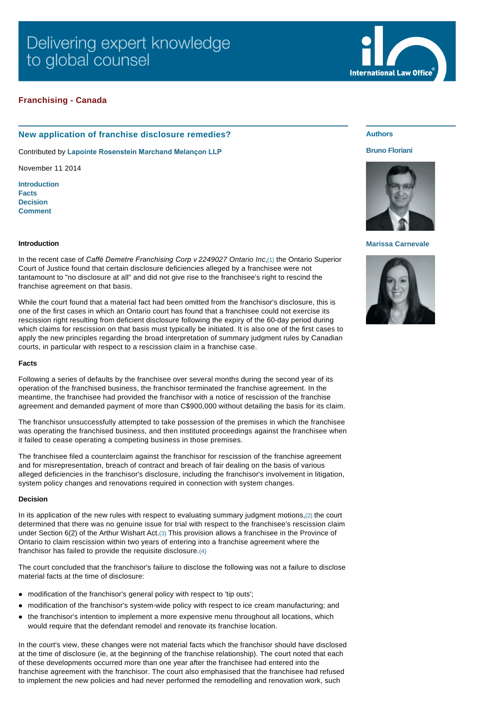# **Franchising - Canada**

## **New application of franchise disclosure remedies?**

Contributed by **[Lapointe Rosenstein Marchand Melançon LLP](http://www.internationallawoffice.com/gesr.ashx?l=7MCHDXU)**

November 11 2014

**[Introduction](#page-0-0) [Facts](#page-0-1) [Decision](#page-0-2) [Comment](#page-1-0)**

### <span id="page-0-0"></span>**Introduction**

In the recent case of *Caffé Demetre Franchising Corp v 2249027 Ontario Inc*,[\(1\)](#page-1-1) the Ontario Superior Court of Justice found that certain disclosure deficiencies alleged by a franchisee were not tantamount to "no disclosure at all" and did not give rise to the franchisee's right to rescind the franchise agreement on that basis.

While the court found that a material fact had been omitted from the franchisor's disclosure, this is one of the first cases in which an Ontario court has found that a franchisee could not exercise its rescission right resulting from deficient disclosure following the expiry of the 60-day period during which claims for rescission on that basis must typically be initiated. It is also one of the first cases to apply the new principles regarding the broad interpretation of summary judgment rules by Canadian courts, in particular with respect to a rescission claim in a franchise case.

### <span id="page-0-1"></span>**Facts**

Following a series of defaults by the franchisee over several months during the second year of its operation of the franchised business, the franchisor terminated the franchise agreement. In the meantime, the franchisee had provided the franchisor with a notice of rescission of the franchise agreement and demanded payment of more than C\$900,000 without detailing the basis for its claim.

The franchisor unsuccessfully attempted to take possession of the premises in which the franchisee was operating the franchised business, and then instituted proceedings against the franchisee when it failed to cease operating a competing business in those premises.

The franchisee filed a counterclaim against the franchisor for rescission of the franchise agreement and for misrepresentation, breach of contract and breach of fair dealing on the basis of various alleged deficiencies in the franchisor's disclosure, including the franchisor's involvement in litigation, system policy changes and renovations required in connection with system changes.

### <span id="page-0-2"></span>**Decision**

In its application of the new rules with respect to evaluating summary judgment motions,[\(2\)](#page-1-2) the court determined that there was no genuine issue for trial with respect to the franchisee's rescission claim under Section 6(2) of the Arthur Wishart Act.[\(3\)](#page-1-3) This provision allows a franchisee in the Province of Ontario to claim rescission within two years of entering into a franchise agreement where the franchisor has failed to provide the requisite disclosure.[\(4\)](#page-2-0)

The court concluded that the franchisor's failure to disclose the following was not a failure to disclose material facts at the time of disclosure:

- modification of the franchisor's general policy with respect to 'tip outs';
- modification of the franchisor's system-wide policy with respect to ice cream manufacturing; and
- the franchisor's intention to implement a more expensive menu throughout all locations, which would require that the defendant remodel and renovate its franchise location.

In the court's view, these changes were not material facts which the franchisor should have disclosed at the time of disclosure (ie, at the beginning of the franchise relationship). The court noted that each of these developments occurred more than one year after the franchisee had entered into the franchise agreement with the franchisor. The court also emphasised that the franchisee had refused to implement the new policies and had never performed the remodelling and renovation work, such

## **Authors**

### **[Bruno Floriani](http://www.internationallawoffice.com/gesr.ashx?l=7MCHDXX)**



### **[Marissa Carnevale](http://www.internationallawoffice.com/gesr.ashx?l=7MCHDZE)**



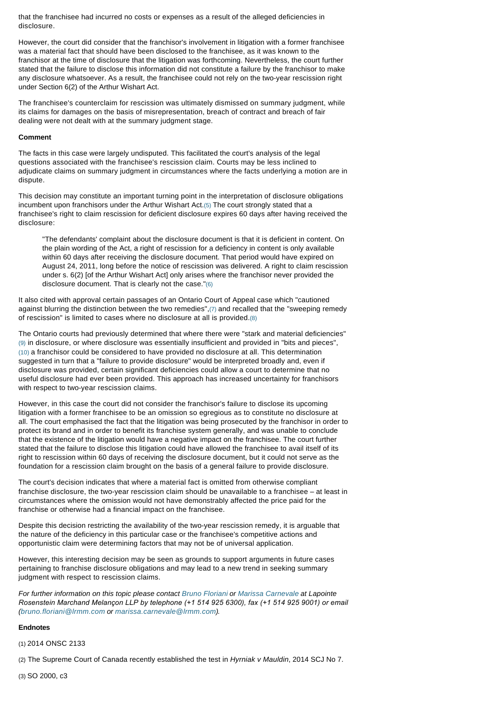that the franchisee had incurred no costs or expenses as a result of the alleged deficiencies in disclosure.

However, the court did consider that the franchisor's involvement in litigation with a former franchisee was a material fact that should have been disclosed to the franchisee, as it was known to the franchisor at the time of disclosure that the litigation was forthcoming. Nevertheless, the court further stated that the failure to disclose this information did not constitute a failure by the franchisor to make any disclosure whatsoever. As a result, the franchisee could not rely on the two-year rescission right under Section 6(2) of the Arthur Wishart Act.

The franchisee's counterclaim for rescission was ultimately dismissed on summary judgment, while its claims for damages on the basis of misrepresentation, breach of contract and breach of fair dealing were not dealt with at the summary judgment stage.

### <span id="page-1-0"></span>**Comment**

The facts in this case were largely undisputed. This facilitated the court's analysis of the legal questions associated with the franchisee's rescission claim. Courts may be less inclined to adjudicate claims on summary judgment in circumstances where the facts underlying a motion are in dispute.

This decision may constitute an important turning point in the interpretation of disclosure obligations incumbent upon franchisors under the Arthur Wishart Act.[\(5\)](#page-2-1) The court strongly stated that a franchisee's right to claim rescission for deficient disclosure expires 60 days after having received the disclosure:

"The defendants' complaint about the disclosure document is that it is deficient in content. On the plain wording of the Act, a right of rescission for a deficiency in content is only available within 60 days after receiving the disclosure document. That period would have expired on August 24, 2011, long before the notice of rescission was delivered. A right to claim rescission under s. 6(2) [of the Arthur Wishart Act] only arises where the franchisor never provided the disclosure document. That is clearly not the case."[\(6\)](#page-2-2)

It also cited with approval certain passages of an Ontario Court of Appeal case which "cautioned against blurring the distinction between the two remedies",[\(7\)](#page-2-3) and recalled that the "sweeping remedy of rescission" is limited to cases where no disclosure at all is provided.[\(8\)](#page-2-4)

[Th](#page-2-5)e Ontario courts had previously determined that where there were "stark and material deficiencies" (9) in disclosure, or where disclosure was essentially insufficient and provided in "bits and pieces", [\(10\)](#page-2-6) a franchisor could be considered to have provided no disclosure at all. This determination suggested in turn that a "failure to provide disclosure" would be interpreted broadly and, even if disclosure was provided, certain significant deficiencies could allow a court to determine that no useful disclosure had ever been provided. This approach has increased uncertainty for franchisors with respect to two-year rescission claims.

However, in this case the court did not consider the franchisor's failure to disclose its upcoming litigation with a former franchisee to be an omission so egregious as to constitute no disclosure at all. The court emphasised the fact that the litigation was being prosecuted by the franchisor in order to protect its brand and in order to benefit its franchise system generally, and was unable to conclude that the existence of the litigation would have a negative impact on the franchisee. The court further stated that the failure to disclose this litigation could have allowed the franchisee to avail itself of its right to rescission within 60 days of receiving the disclosure document, but it could not serve as the foundation for a rescission claim brought on the basis of a general failure to provide disclosure.

The court's decision indicates that where a material fact is omitted from otherwise compliant franchise disclosure, the two-year rescission claim should be unavailable to a franchisee – at least in circumstances where the omission would not have demonstrably affected the price paid for the franchise or otherwise had a financial impact on the franchisee.

Despite this decision restricting the availability of the two-year rescission remedy, it is arguable that the nature of the deficiency in this particular case or the franchisee's competitive actions and opportunistic claim were determining factors that may not be of universal application.

However, this interesting decision may be seen as grounds to support arguments in future cases pertaining to franchise disclosure obligations and may lead to a new trend in seeking summary judgment with respect to rescission claims.

*For further information on this topic please contact [Bruno Floriani](http://www.internationallawoffice.com/gesr.ashx?l=7MCHDXX) or [Marissa Carnevale](http://www.internationallawoffice.com/gesr.ashx?l=7MCHDXX) at Lapointe Rosenstein Marchand Melançon LLP by telephone (+1 514 925 6300), fax (+1 514 925 9001) or email ([bruno.floriani@lrmm.com](mailto:bruno.floriani@lrmm.com?subject=Article%20on%20ILO) or [marissa.carnevale@lrmm.com\)](mailto:marissa.carnevale@lrmm.com?subject=Article%20on%20ILO).*

### **Endnotes**

<span id="page-1-1"></span>(1) 2014 ONSC 2133

<span id="page-1-2"></span>(2) The Supreme Court of Canada recently established the test in *Hyrniak v Mauldin*, 2014 SCJ No 7.

<span id="page-1-3"></span>(3) SO 2000, c3